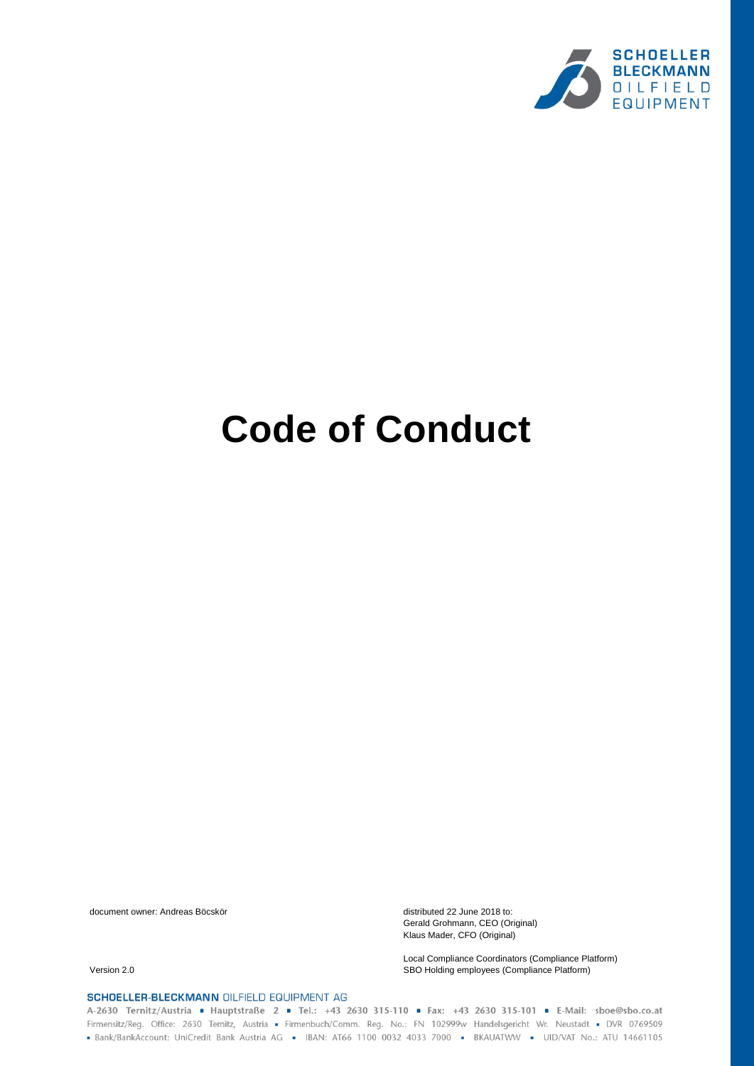

# **Code of Conduct**

document owner: Andreas Böcskör distributed 22 June 2018 to:

Gerald Grohmann, CEO (Original) Klaus Mader, CFO (Original)

Local Compliance Coordinators (Compliance Platform) Version 2.0 SBO Holding employees (Compliance Platform)

SCHOELLER-BLECKMANN OILFIELD EQUIPMENT AG

A-2630 Ternitz/Austria = Hauptstraße 2 = Tel.: +43 2630 315-110 = Fax: +43 2630 315-101 = E-Mail: sboe@sbo.co.at Firmensitz/Reg. Office: 2630 Ternitz, Austria - Firmenbuch/Comm. Reg. No.: FN 102999w Handelsgericht Wr. Neustadt - DVR 0769509 - Bank/BankAccount: UniCredit Bank Austria AG - IBAN: AT66 1100 0032 4033 7000 - BKAUATWW - UID/VAT No.: ATU 14661105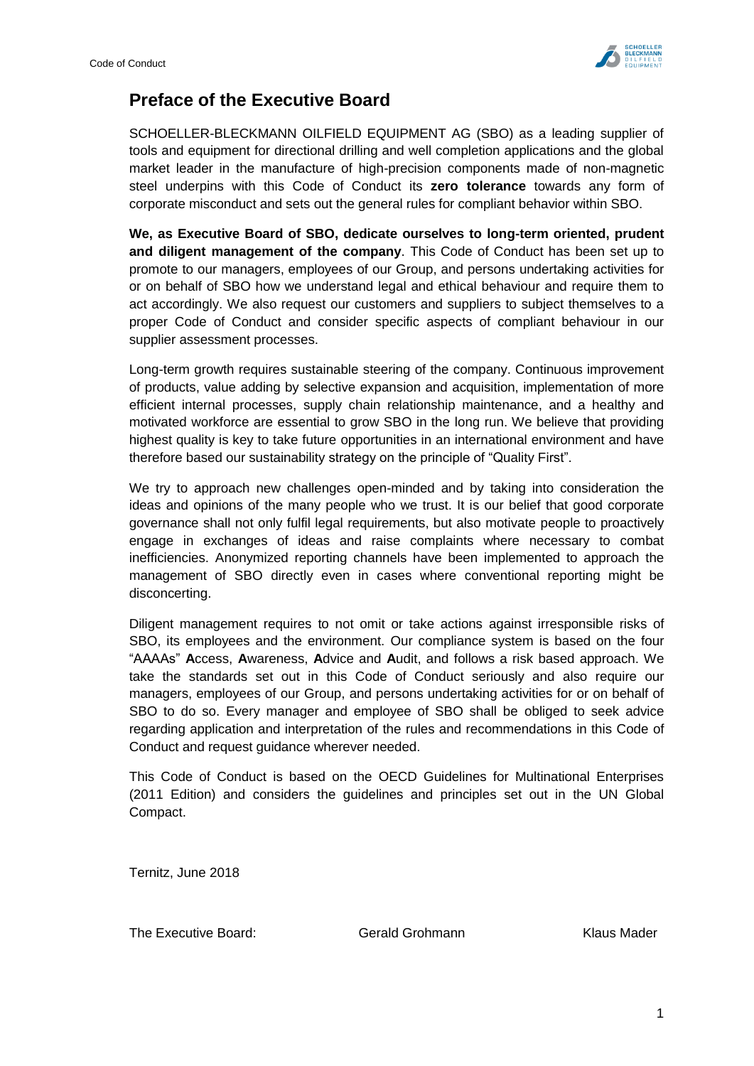

# **Preface of the Executive Board**

SCHOELLER-BLECKMANN OILFIELD EQUIPMENT AG (SBO) as a leading supplier of tools and equipment for directional drilling and well completion applications and the global market leader in the manufacture of high-precision components made of non-magnetic steel underpins with this Code of Conduct its **zero tolerance** towards any form of corporate misconduct and sets out the general rules for compliant behavior within SBO.

**We, as Executive Board of SBO, dedicate ourselves to long-term oriented, prudent and diligent management of the company**. This Code of Conduct has been set up to promote to our managers, employees of our Group, and persons undertaking activities for or on behalf of SBO how we understand legal and ethical behaviour and require them to act accordingly. We also request our customers and suppliers to subject themselves to a proper Code of Conduct and consider specific aspects of compliant behaviour in our supplier assessment processes.

Long-term growth requires sustainable steering of the company. Continuous improvement of products, value adding by selective expansion and acquisition, implementation of more efficient internal processes, supply chain relationship maintenance, and a healthy and motivated workforce are essential to grow SBO in the long run. We believe that providing highest quality is key to take future opportunities in an international environment and have therefore based our sustainability strategy on the principle of "Quality First".

We try to approach new challenges open-minded and by taking into consideration the ideas and opinions of the many people who we trust. It is our belief that good corporate governance shall not only fulfil legal requirements, but also motivate people to proactively engage in exchanges of ideas and raise complaints where necessary to combat inefficiencies. Anonymized reporting channels have been implemented to approach the management of SBO directly even in cases where conventional reporting might be disconcerting.

Diligent management requires to not omit or take actions against irresponsible risks of SBO, its employees and the environment. Our compliance system is based on the four "AAAAs" **A**ccess, **A**wareness, **A**dvice and **A**udit, and follows a risk based approach. We take the standards set out in this Code of Conduct seriously and also require our managers, employees of our Group, and persons undertaking activities for or on behalf of SBO to do so. Every manager and employee of SBO shall be obliged to seek advice regarding application and interpretation of the rules and recommendations in this Code of Conduct and request guidance wherever needed.

This Code of Conduct is based on the OECD Guidelines for Multinational Enterprises (2011 Edition) and considers the guidelines and principles set out in the UN Global Compact.

Ternitz, June 2018

The Executive Board: Gerald Grohmann Klaus Mader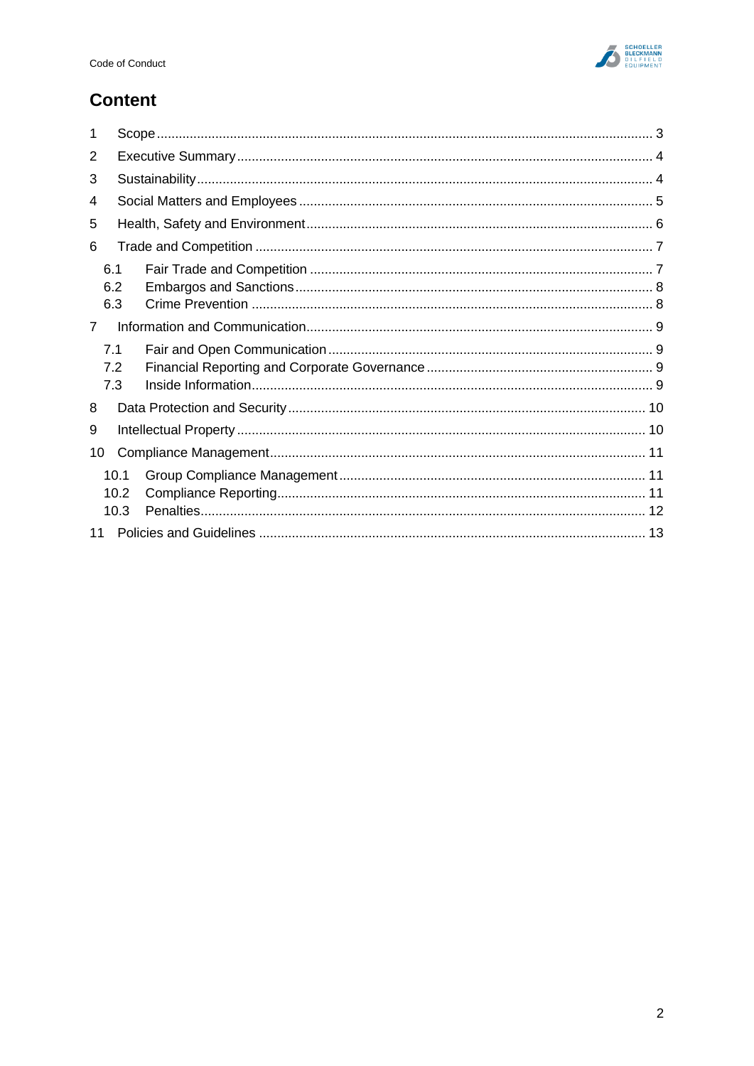

# **Content**

| 1              |                      |  |  |
|----------------|----------------------|--|--|
| 2              |                      |  |  |
| 3              |                      |  |  |
| 4              |                      |  |  |
| 5              |                      |  |  |
| 6              |                      |  |  |
|                | 6.1<br>6.2<br>6.3    |  |  |
| $\overline{7}$ |                      |  |  |
|                | 7.1<br>7.2<br>7.3    |  |  |
| 8              |                      |  |  |
| 9              |                      |  |  |
| 10             |                      |  |  |
|                | 10.1<br>10.2<br>10.3 |  |  |
|                |                      |  |  |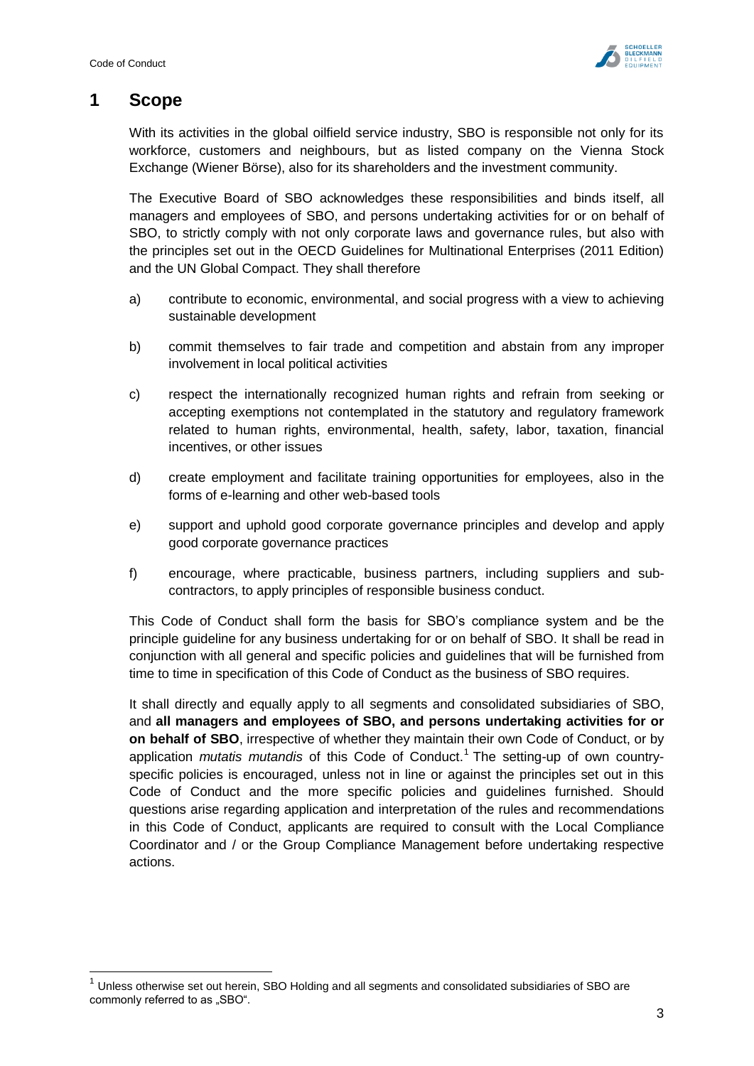$\overline{1}$ 



## <span id="page-3-0"></span>**1 Scope**

With its activities in the global oilfield service industry, SBO is responsible not only for its workforce, customers and neighbours, but as listed company on the Vienna Stock Exchange (Wiener Börse), also for its shareholders and the investment community.

The Executive Board of SBO acknowledges these responsibilities and binds itself, all managers and employees of SBO, and persons undertaking activities for or on behalf of SBO, to strictly comply with not only corporate laws and governance rules, but also with the principles set out in the OECD Guidelines for Multinational Enterprises (2011 Edition) and the UN Global Compact. They shall therefore

- a) contribute to economic, environmental, and social progress with a view to achieving sustainable development
- b) commit themselves to fair trade and competition and abstain from any improper involvement in local political activities
- c) respect the internationally recognized human rights and refrain from seeking or accepting exemptions not contemplated in the statutory and regulatory framework related to human rights, environmental, health, safety, labor, taxation, financial incentives, or other issues
- d) create employment and facilitate training opportunities for employees, also in the forms of e-learning and other web-based tools
- e) support and uphold good corporate governance principles and develop and apply good corporate governance practices
- f) encourage, where practicable, business partners, including suppliers and subcontractors, to apply principles of responsible business conduct.

This Code of Conduct shall form the basis for SBO's compliance system and be the principle guideline for any business undertaking for or on behalf of SBO. It shall be read in conjunction with all general and specific policies and guidelines that will be furnished from time to time in specification of this Code of Conduct as the business of SBO requires.

It shall directly and equally apply to all segments and consolidated subsidiaries of SBO, and **all managers and employees of SBO, and persons undertaking activities for or on behalf of SBO**, irrespective of whether they maintain their own Code of Conduct, or by application *mutatis mutandis* of this Code of Conduct. 1 The setting-up of own countryspecific policies is encouraged, unless not in line or against the principles set out in this Code of Conduct and the more specific policies and guidelines furnished. Should questions arise regarding application and interpretation of the rules and recommendations in this Code of Conduct, applicants are required to consult with the Local Compliance Coordinator and / or the Group Compliance Management before undertaking respective actions.

 $1$  Unless otherwise set out herein, SBO Holding and all segments and consolidated subsidiaries of SBO are commonly referred to as "SBO".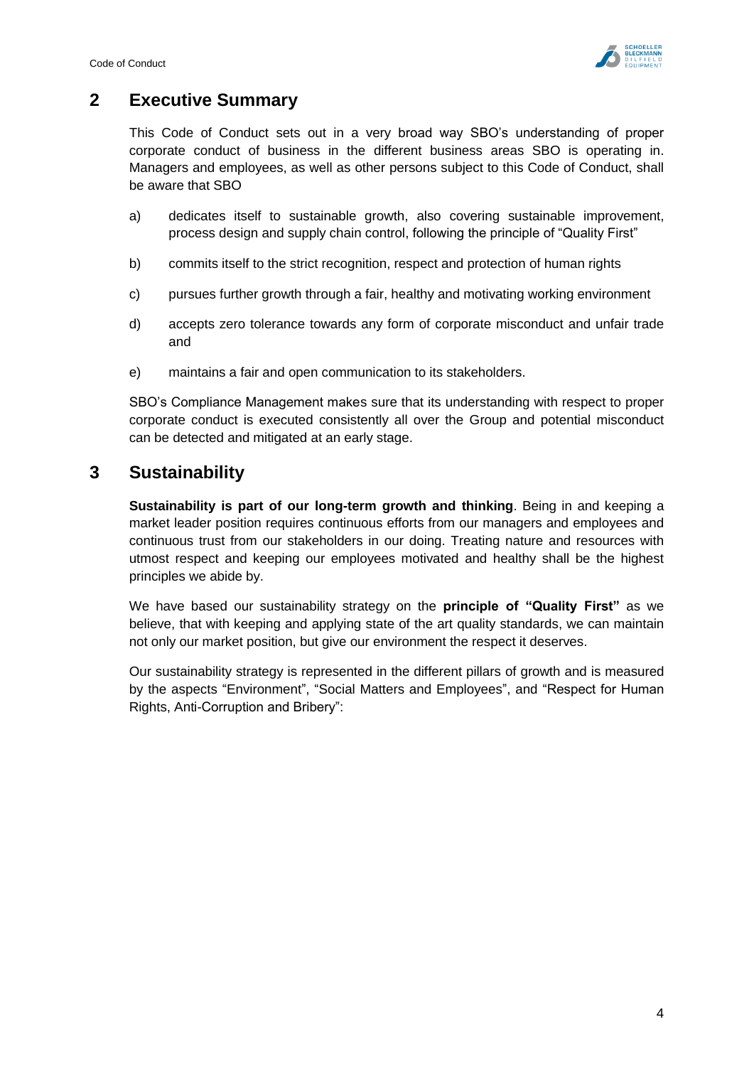

# <span id="page-4-0"></span>**2 Executive Summary**

This Code of Conduct sets out in a very broad way SBO's understanding of proper corporate conduct of business in the different business areas SBO is operating in. Managers and employees, as well as other persons subject to this Code of Conduct, shall be aware that SBO

- a) dedicates itself to sustainable growth, also covering sustainable improvement, process design and supply chain control, following the principle of "Quality First"
- b) commits itself to the strict recognition, respect and protection of human rights
- c) pursues further growth through a fair, healthy and motivating working environment
- d) accepts zero tolerance towards any form of corporate misconduct and unfair trade and
- e) maintains a fair and open communication to its stakeholders.

SBO's Compliance Management makes sure that its understanding with respect to proper corporate conduct is executed consistently all over the Group and potential misconduct can be detected and mitigated at an early stage.

## <span id="page-4-1"></span>**3 Sustainability**

**Sustainability is part of our long-term growth and thinking**. Being in and keeping a market leader position requires continuous efforts from our managers and employees and continuous trust from our stakeholders in our doing. Treating nature and resources with utmost respect and keeping our employees motivated and healthy shall be the highest principles we abide by.

We have based our sustainability strategy on the **principle of "Quality First"** as we believe, that with keeping and applying state of the art quality standards, we can maintain not only our market position, but give our environment the respect it deserves.

Our sustainability strategy is represented in the different pillars of growth and is measured by the aspects "Environment", "Social Matters and Employees", and "Respect for Human Rights, Anti-Corruption and Bribery":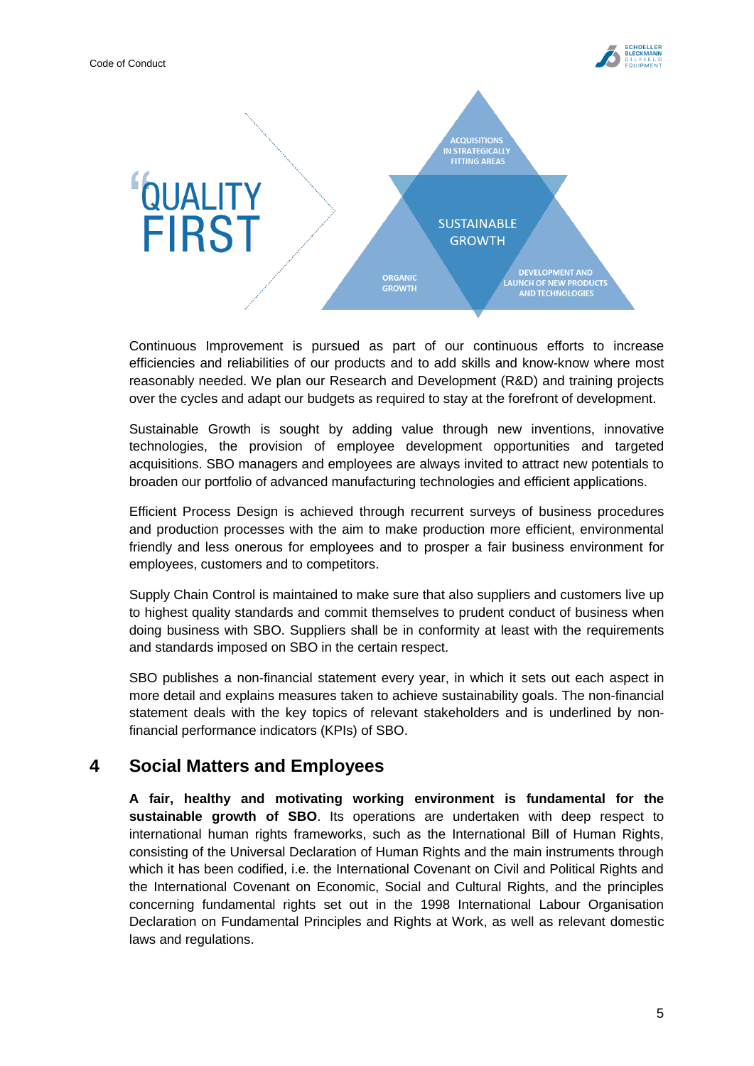



Continuous Improvement is pursued as part of our continuous efforts to increase efficiencies and reliabilities of our products and to add skills and know-know where most reasonably needed. We plan our Research and Development (R&D) and training projects over the cycles and adapt our budgets as required to stay at the forefront of development.

Sustainable Growth is sought by adding value through new inventions, innovative technologies, the provision of employee development opportunities and targeted acquisitions. SBO managers and employees are always invited to attract new potentials to broaden our portfolio of advanced manufacturing technologies and efficient applications.

Efficient Process Design is achieved through recurrent surveys of business procedures and production processes with the aim to make production more efficient, environmental friendly and less onerous for employees and to prosper a fair business environment for employees, customers and to competitors.

Supply Chain Control is maintained to make sure that also suppliers and customers live up to highest quality standards and commit themselves to prudent conduct of business when doing business with SBO. Suppliers shall be in conformity at least with the requirements and standards imposed on SBO in the certain respect.

SBO publishes a non-financial statement every year, in which it sets out each aspect in more detail and explains measures taken to achieve sustainability goals. The non-financial statement deals with the key topics of relevant stakeholders and is underlined by nonfinancial performance indicators (KPIs) of SBO.

# <span id="page-5-0"></span>**4 Social Matters and Employees**

**A fair, healthy and motivating working environment is fundamental for the sustainable growth of SBO**. Its operations are undertaken with deep respect to international human rights frameworks, such as the International Bill of Human Rights, consisting of the Universal Declaration of Human Rights and the main instruments through which it has been codified, i.e. the International Covenant on Civil and Political Rights and the International Covenant on Economic, Social and Cultural Rights, and the principles concerning fundamental rights set out in the 1998 International Labour Organisation Declaration on Fundamental Principles and Rights at Work, as well as relevant domestic laws and regulations.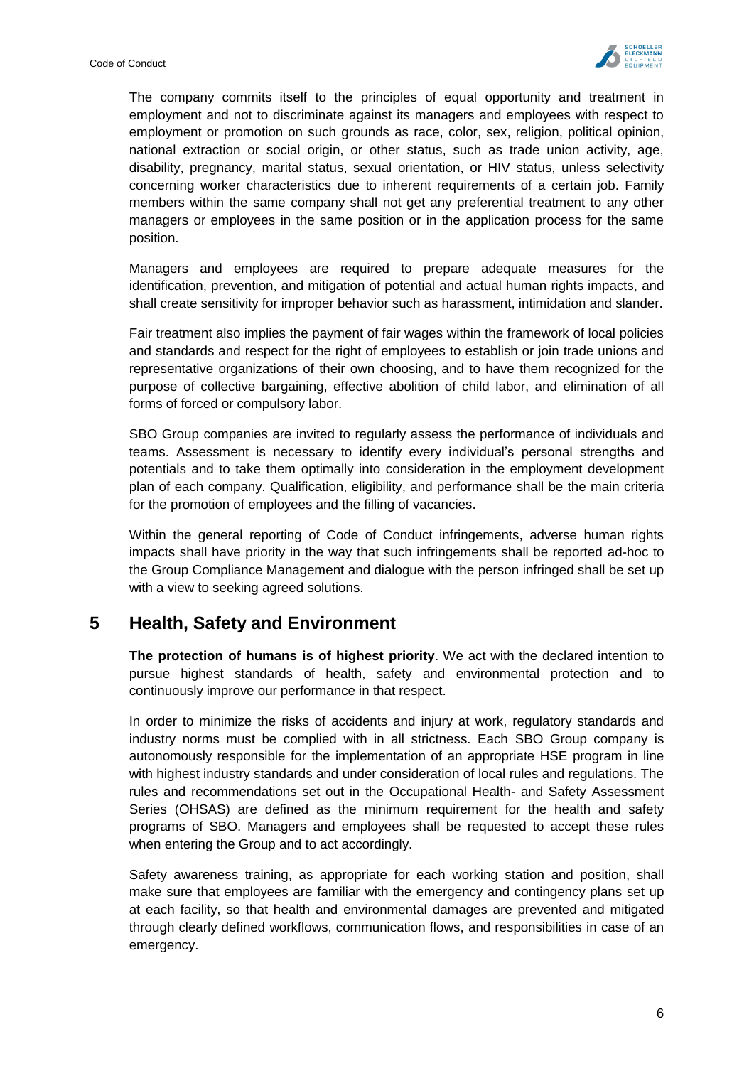

The company commits itself to the principles of equal opportunity and treatment in employment and not to discriminate against its managers and employees with respect to employment or promotion on such grounds as race, color, sex, religion, political opinion, national extraction or social origin, or other status, such as trade union activity, age, disability, pregnancy, marital status, sexual orientation, or HIV status, unless selectivity concerning worker characteristics due to inherent requirements of a certain job. Family members within the same company shall not get any preferential treatment to any other managers or employees in the same position or in the application process for the same position.

Managers and employees are required to prepare adequate measures for the identification, prevention, and mitigation of potential and actual human rights impacts, and shall create sensitivity for improper behavior such as harassment, intimidation and slander.

Fair treatment also implies the payment of fair wages within the framework of local policies and standards and respect for the right of employees to establish or join trade unions and representative organizations of their own choosing, and to have them recognized for the purpose of collective bargaining, effective abolition of child labor, and elimination of all forms of forced or compulsory labor.

SBO Group companies are invited to regularly assess the performance of individuals and teams. Assessment is necessary to identify every individual's personal strengths and potentials and to take them optimally into consideration in the employment development plan of each company. Qualification, eligibility, and performance shall be the main criteria for the promotion of employees and the filling of vacancies.

Within the general reporting of Code of Conduct infringements, adverse human rights impacts shall have priority in the way that such infringements shall be reported ad-hoc to the Group Compliance Management and dialogue with the person infringed shall be set up with a view to seeking agreed solutions.

## <span id="page-6-0"></span>**5 Health, Safety and Environment**

**The protection of humans is of highest priority**. We act with the declared intention to pursue highest standards of health, safety and environmental protection and to continuously improve our performance in that respect.

In order to minimize the risks of accidents and injury at work, regulatory standards and industry norms must be complied with in all strictness. Each SBO Group company is autonomously responsible for the implementation of an appropriate HSE program in line with highest industry standards and under consideration of local rules and regulations. The rules and recommendations set out in the Occupational Health- and Safety Assessment Series (OHSAS) are defined as the minimum requirement for the health and safety programs of SBO. Managers and employees shall be requested to accept these rules when entering the Group and to act accordingly.

Safety awareness training, as appropriate for each working station and position, shall make sure that employees are familiar with the emergency and contingency plans set up at each facility, so that health and environmental damages are prevented and mitigated through clearly defined workflows, communication flows, and responsibilities in case of an emergency.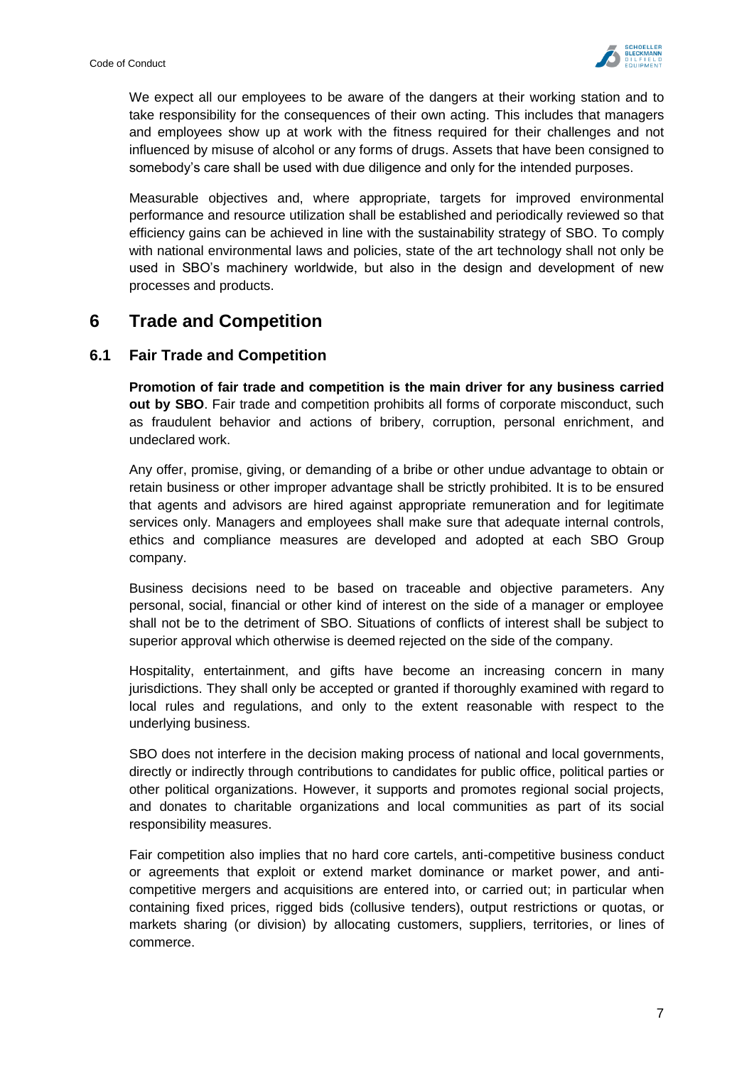

We expect all our employees to be aware of the dangers at their working station and to take responsibility for the consequences of their own acting. This includes that managers and employees show up at work with the fitness required for their challenges and not influenced by misuse of alcohol or any forms of drugs. Assets that have been consigned to somebody's care shall be used with due diligence and only for the intended purposes.

Measurable objectives and, where appropriate, targets for improved environmental performance and resource utilization shall be established and periodically reviewed so that efficiency gains can be achieved in line with the sustainability strategy of SBO. To comply with national environmental laws and policies, state of the art technology shall not only be used in SBO's machinery worldwide, but also in the design and development of new processes and products.

## <span id="page-7-0"></span>**6 Trade and Competition**

## <span id="page-7-1"></span>**6.1 Fair Trade and Competition**

**Promotion of fair trade and competition is the main driver for any business carried out by SBO**. Fair trade and competition prohibits all forms of corporate misconduct, such as fraudulent behavior and actions of bribery, corruption, personal enrichment, and undeclared work.

Any offer, promise, giving, or demanding of a bribe or other undue advantage to obtain or retain business or other improper advantage shall be strictly prohibited. It is to be ensured that agents and advisors are hired against appropriate remuneration and for legitimate services only. Managers and employees shall make sure that adequate internal controls, ethics and compliance measures are developed and adopted at each SBO Group company.

Business decisions need to be based on traceable and objective parameters. Any personal, social, financial or other kind of interest on the side of a manager or employee shall not be to the detriment of SBO. Situations of conflicts of interest shall be subject to superior approval which otherwise is deemed rejected on the side of the company.

Hospitality, entertainment, and gifts have become an increasing concern in many jurisdictions. They shall only be accepted or granted if thoroughly examined with regard to local rules and regulations, and only to the extent reasonable with respect to the underlying business.

SBO does not interfere in the decision making process of national and local governments, directly or indirectly through contributions to candidates for public office, political parties or other political organizations. However, it supports and promotes regional social projects, and donates to charitable organizations and local communities as part of its social responsibility measures.

Fair competition also implies that no hard core cartels, anti-competitive business conduct or agreements that exploit or extend market dominance or market power, and anticompetitive mergers and acquisitions are entered into, or carried out; in particular when containing fixed prices, rigged bids (collusive tenders), output restrictions or quotas, or markets sharing (or division) by allocating customers, suppliers, territories, or lines of commerce.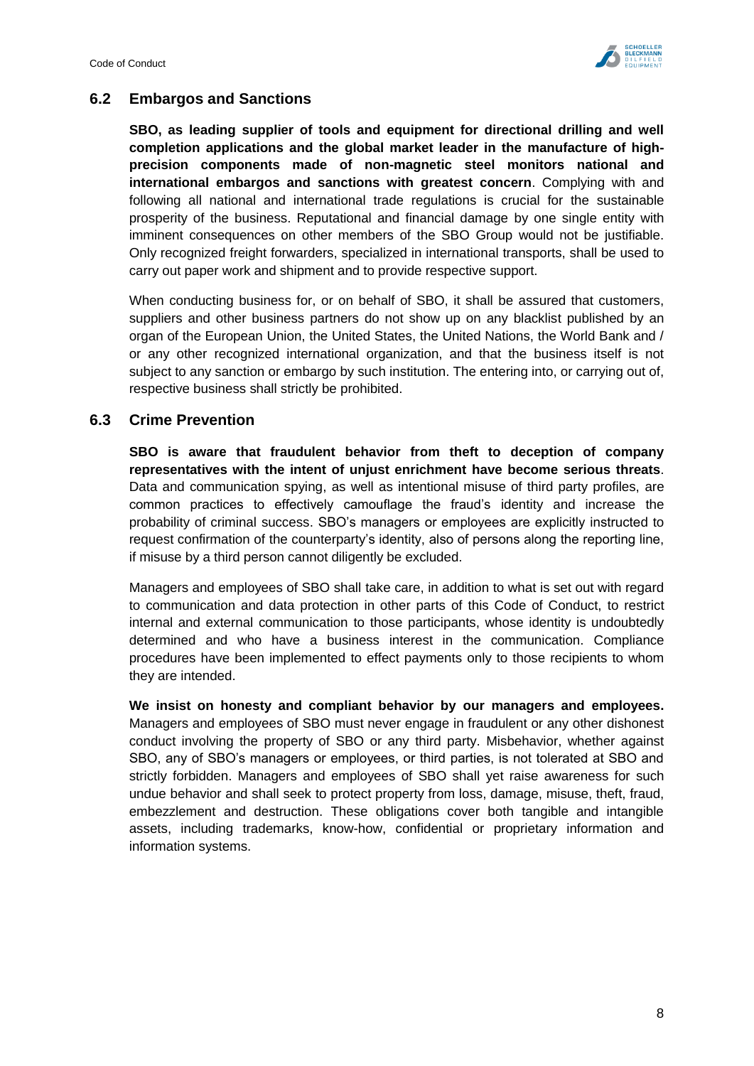

## <span id="page-8-0"></span>**6.2 Embargos and Sanctions**

**SBO, as leading supplier of tools and equipment for directional drilling and well completion applications and the global market leader in the manufacture of highprecision components made of non-magnetic steel monitors national and international embargos and sanctions with greatest concern**. Complying with and following all national and international trade regulations is crucial for the sustainable prosperity of the business. Reputational and financial damage by one single entity with imminent consequences on other members of the SBO Group would not be justifiable. Only recognized freight forwarders, specialized in international transports, shall be used to carry out paper work and shipment and to provide respective support.

When conducting business for, or on behalf of SBO, it shall be assured that customers, suppliers and other business partners do not show up on any blacklist published by an organ of the European Union, the United States, the United Nations, the World Bank and / or any other recognized international organization, and that the business itself is not subject to any sanction or embargo by such institution. The entering into, or carrying out of, respective business shall strictly be prohibited.

#### <span id="page-8-1"></span>**6.3 Crime Prevention**

**SBO is aware that fraudulent behavior from theft to deception of company representatives with the intent of unjust enrichment have become serious threats**. Data and communication spying, as well as intentional misuse of third party profiles, are common practices to effectively camouflage the fraud's identity and increase the probability of criminal success. SBO's managers or employees are explicitly instructed to request confirmation of the counterparty's identity, also of persons along the reporting line, if misuse by a third person cannot diligently be excluded.

Managers and employees of SBO shall take care, in addition to what is set out with regard to communication and data protection in other parts of this Code of Conduct, to restrict internal and external communication to those participants, whose identity is undoubtedly determined and who have a business interest in the communication. Compliance procedures have been implemented to effect payments only to those recipients to whom they are intended.

**We insist on honesty and compliant behavior by our managers and employees.**  Managers and employees of SBO must never engage in fraudulent or any other dishonest conduct involving the property of SBO or any third party. Misbehavior, whether against SBO, any of SBO's managers or employees, or third parties, is not tolerated at SBO and strictly forbidden. Managers and employees of SBO shall yet raise awareness for such undue behavior and shall seek to protect property from loss, damage, misuse, theft, fraud, embezzlement and destruction. These obligations cover both tangible and intangible assets, including trademarks, know-how, confidential or proprietary information and information systems.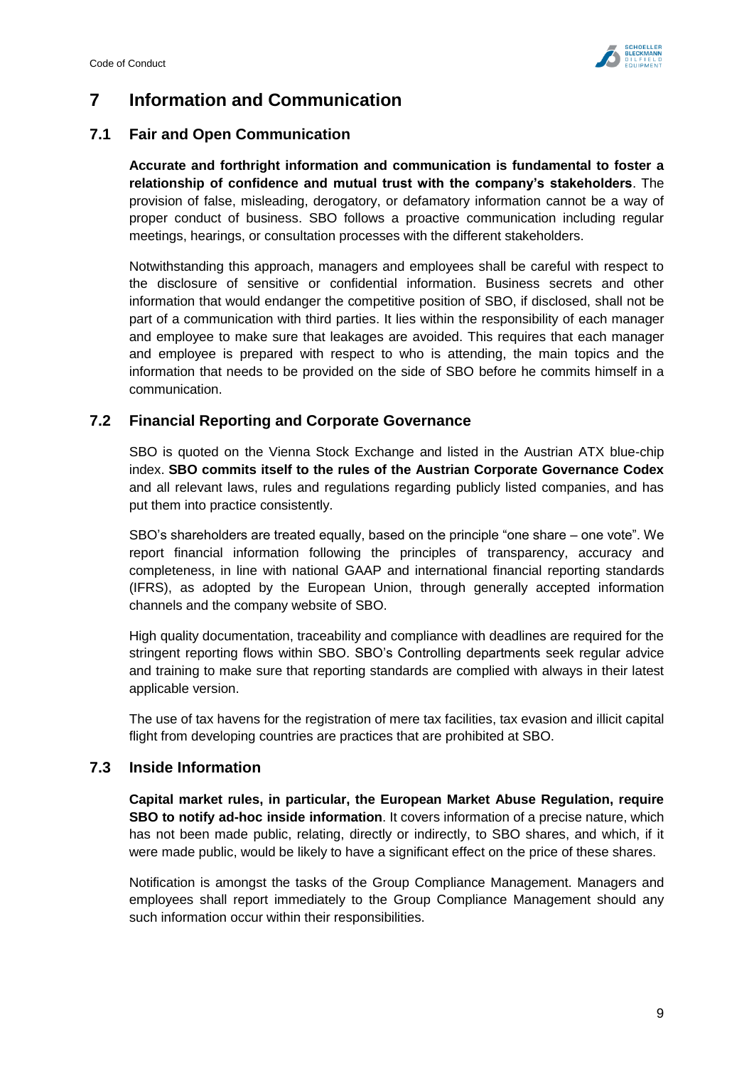

# <span id="page-9-0"></span>**7 Information and Communication**

## <span id="page-9-1"></span>**7.1 Fair and Open Communication**

**Accurate and forthright information and communication is fundamental to foster a relationship of confidence and mutual trust with the company's stakeholders**. The provision of false, misleading, derogatory, or defamatory information cannot be a way of proper conduct of business. SBO follows a proactive communication including regular meetings, hearings, or consultation processes with the different stakeholders.

Notwithstanding this approach, managers and employees shall be careful with respect to the disclosure of sensitive or confidential information. Business secrets and other information that would endanger the competitive position of SBO, if disclosed, shall not be part of a communication with third parties. It lies within the responsibility of each manager and employee to make sure that leakages are avoided. This requires that each manager and employee is prepared with respect to who is attending, the main topics and the information that needs to be provided on the side of SBO before he commits himself in a communication.

## <span id="page-9-2"></span>**7.2 Financial Reporting and Corporate Governance**

SBO is quoted on the Vienna Stock Exchange and listed in the Austrian ATX blue-chip index. **SBO commits itself to the rules of the Austrian Corporate Governance Codex** and all relevant laws, rules and regulations regarding publicly listed companies, and has put them into practice consistently.

SBO's shareholders are treated equally, based on the principle "one share – one vote". We report financial information following the principles of transparency, accuracy and completeness, in line with national GAAP and international financial reporting standards (IFRS), as adopted by the European Union, through generally accepted information channels and the company website of SBO.

High quality documentation, traceability and compliance with deadlines are required for the stringent reporting flows within SBO. SBO's Controlling departments seek regular advice and training to make sure that reporting standards are complied with always in their latest applicable version.

The use of tax havens for the registration of mere tax facilities, tax evasion and illicit capital flight from developing countries are practices that are prohibited at SBO.

## <span id="page-9-3"></span>**7.3 Inside Information**

**Capital market rules, in particular, the European Market Abuse Regulation, require SBO to notify ad-hoc inside information**. It covers information of a precise nature, which has not been made public, relating, directly or indirectly, to SBO shares, and which, if it were made public, would be likely to have a significant effect on the price of these shares.

Notification is amongst the tasks of the Group Compliance Management. Managers and employees shall report immediately to the Group Compliance Management should any such information occur within their responsibilities.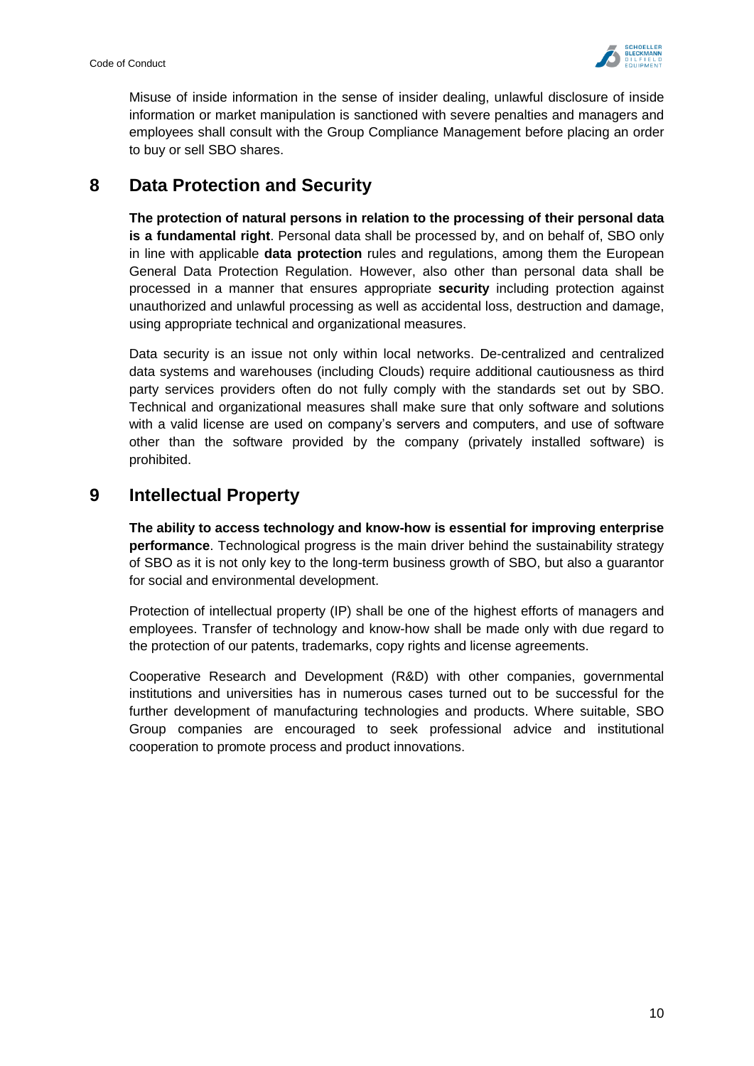

Misuse of inside information in the sense of insider dealing, unlawful disclosure of inside information or market manipulation is sanctioned with severe penalties and managers and employees shall consult with the Group Compliance Management before placing an order to buy or sell SBO shares.

# <span id="page-10-0"></span>**8 Data Protection and Security**

**The protection of natural persons in relation to the processing of their personal data is a fundamental right**. Personal data shall be processed by, and on behalf of, SBO only in line with applicable **data protection** rules and regulations, among them the European General Data Protection Regulation. However, also other than personal data shall be processed in a manner that ensures appropriate **security** including protection against unauthorized and unlawful processing as well as accidental loss, destruction and damage, using appropriate technical and organizational measures.

Data security is an issue not only within local networks. De-centralized and centralized data systems and warehouses (including Clouds) require additional cautiousness as third party services providers often do not fully comply with the standards set out by SBO. Technical and organizational measures shall make sure that only software and solutions with a valid license are used on company's servers and computers, and use of software other than the software provided by the company (privately installed software) is prohibited.

# <span id="page-10-1"></span>**9 Intellectual Property**

**The ability to access technology and know-how is essential for improving enterprise performance**. Technological progress is the main driver behind the sustainability strategy of SBO as it is not only key to the long-term business growth of SBO, but also a guarantor for social and environmental development.

Protection of intellectual property (IP) shall be one of the highest efforts of managers and employees. Transfer of technology and know-how shall be made only with due regard to the protection of our patents, trademarks, copy rights and license agreements.

Cooperative Research and Development (R&D) with other companies, governmental institutions and universities has in numerous cases turned out to be successful for the further development of manufacturing technologies and products. Where suitable, SBO Group companies are encouraged to seek professional advice and institutional cooperation to promote process and product innovations.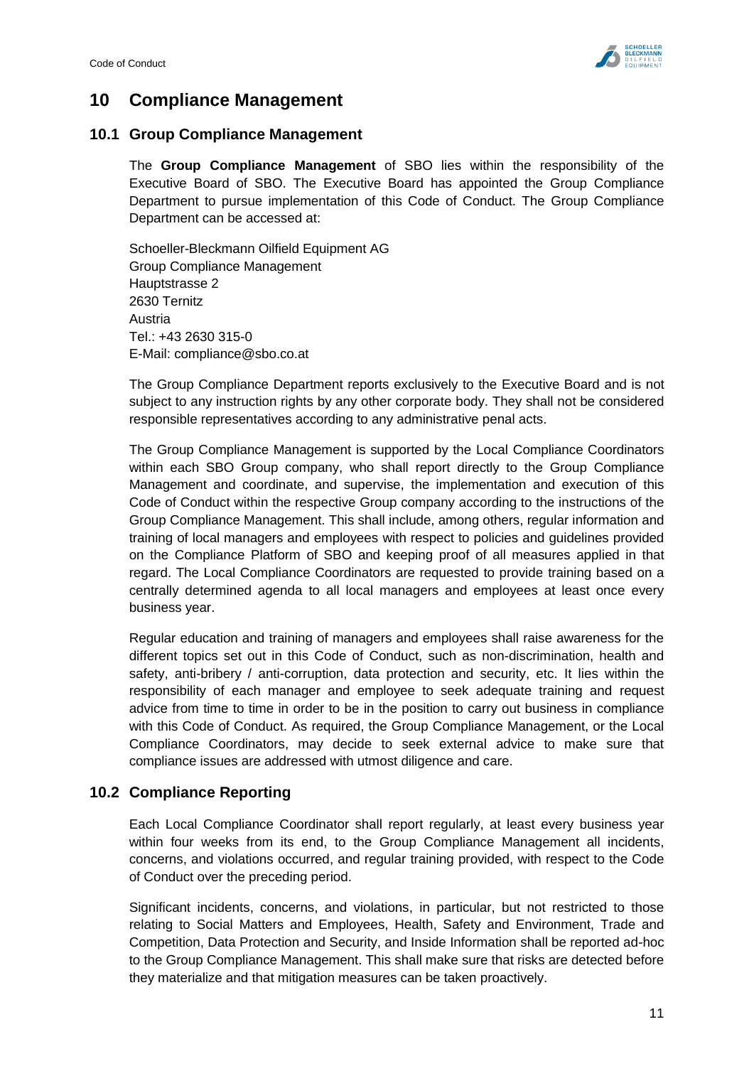

# <span id="page-11-0"></span>**10 Compliance Management**

## <span id="page-11-1"></span>**10.1 Group Compliance Management**

The **Group Compliance Management** of SBO lies within the responsibility of the Executive Board of SBO. The Executive Board has appointed the Group Compliance Department to pursue implementation of this Code of Conduct. The Group Compliance Department can be accessed at:

Schoeller-Bleckmann Oilfield Equipment AG Group Compliance Management Hauptstrasse 2 2630 Ternitz Austria Tel.: +43 2630 315-0 E-Mail: [compliance@sbo.co.at](mailto:compliance@sbo.co.at)

The Group Compliance Department reports exclusively to the Executive Board and is not subject to any instruction rights by any other corporate body. They shall not be considered responsible representatives according to any administrative penal acts.

The Group Compliance Management is supported by the Local Compliance Coordinators within each SBO Group company, who shall report directly to the Group Compliance Management and coordinate, and supervise, the implementation and execution of this Code of Conduct within the respective Group company according to the instructions of the Group Compliance Management. This shall include, among others, regular information and training of local managers and employees with respect to policies and guidelines provided on the Compliance Platform of SBO and keeping proof of all measures applied in that regard. The Local Compliance Coordinators are requested to provide training based on a centrally determined agenda to all local managers and employees at least once every business year.

Regular education and training of managers and employees shall raise awareness for the different topics set out in this Code of Conduct, such as non-discrimination, health and safety, anti-bribery / anti-corruption, data protection and security, etc. It lies within the responsibility of each manager and employee to seek adequate training and request advice from time to time in order to be in the position to carry out business in compliance with this Code of Conduct. As required, the Group Compliance Management, or the Local Compliance Coordinators, may decide to seek external advice to make sure that compliance issues are addressed with utmost diligence and care.

## <span id="page-11-2"></span>**10.2 Compliance Reporting**

Each Local Compliance Coordinator shall report regularly, at least every business year within four weeks from its end, to the Group Compliance Management all incidents, concerns, and violations occurred, and regular training provided, with respect to the Code of Conduct over the preceding period.

Significant incidents, concerns, and violations, in particular, but not restricted to those relating to [Social Matters and Employees,](#page-5-0) [Health, Safety and Environment,](#page-6-0) [Trade and](#page-7-0)  [Competition,](#page-7-0) [Data Protection](#page-10-0) and Security, and [Inside Information](#page-9-3) shall be reported ad-hoc to the Group Compliance Management. This shall make sure that risks are detected before they materialize and that mitigation measures can be taken proactively.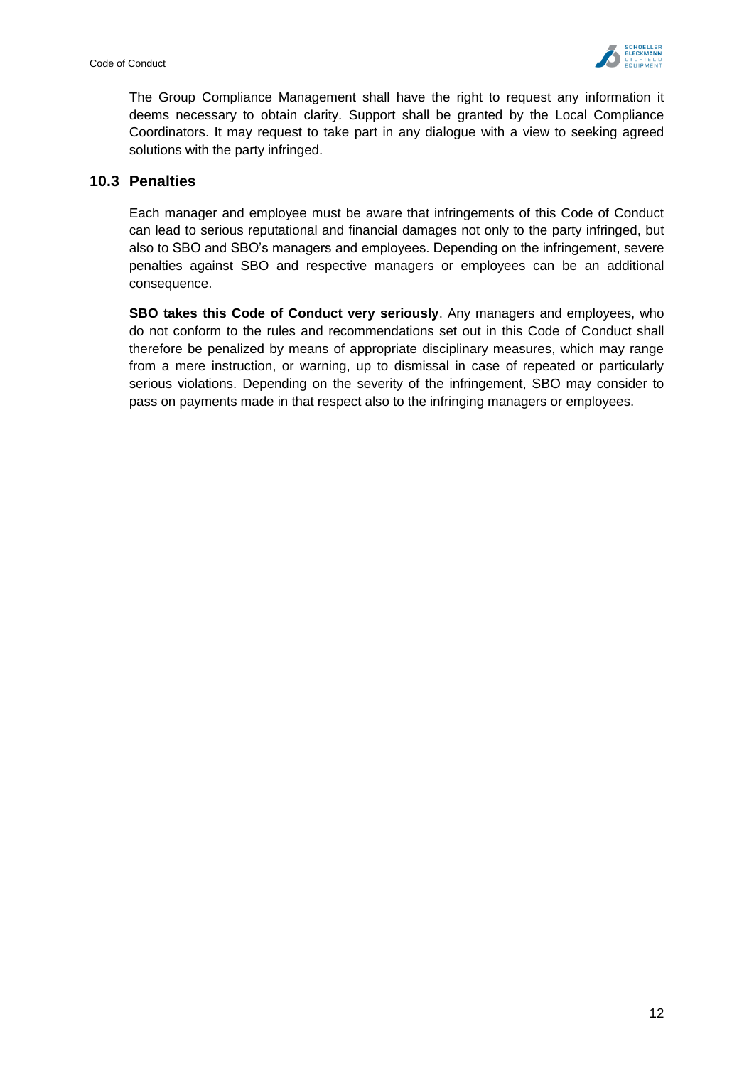

The Group Compliance Management shall have the right to request any information it deems necessary to obtain clarity. Support shall be granted by the Local Compliance Coordinators. It may request to take part in any dialogue with a view to seeking agreed solutions with the party infringed.

#### <span id="page-12-0"></span>**10.3 Penalties**

Each manager and employee must be aware that infringements of this Code of Conduct can lead to serious reputational and financial damages not only to the party infringed, but also to SBO and SBO's managers and employees. Depending on the infringement, severe penalties against SBO and respective managers or employees can be an additional consequence.

**SBO takes this Code of Conduct very seriously**. Any managers and employees, who do not conform to the rules and recommendations set out in this Code of Conduct shall therefore be penalized by means of appropriate disciplinary measures, which may range from a mere instruction, or warning, up to dismissal in case of repeated or particularly serious violations. Depending on the severity of the infringement, SBO may consider to pass on payments made in that respect also to the infringing managers or employees.